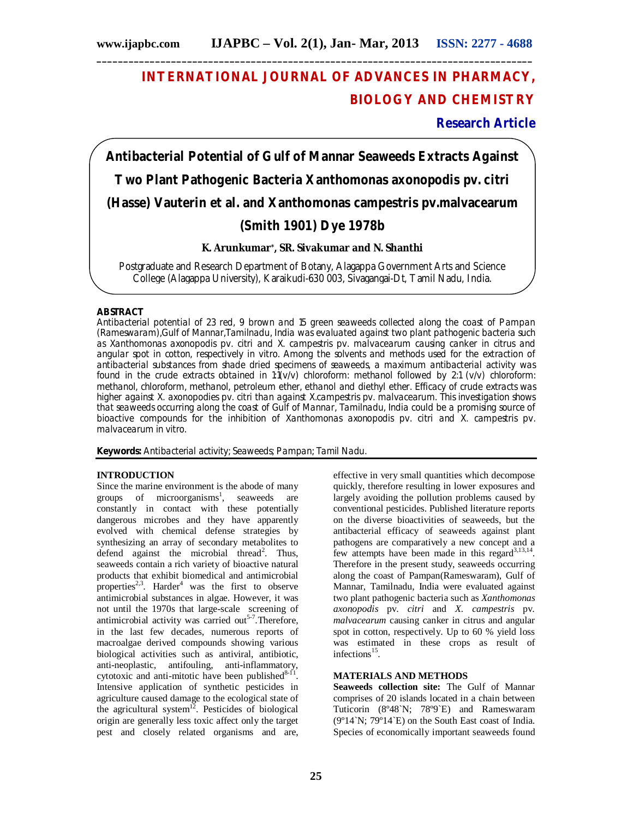# **INTERNATIONAL JOURNAL OF ADVANCES IN PHARMACY, BIOLOGY AND CHEMISTRY**

## **Research Article**

**Antibacterial Potential of Gulf of Mannar Seaweeds Extracts Against Two Plant Pathogenic Bacteria** *Xanthomonas axonopodis* **pv***. citri*  **(Hasse) Vauterin et al. and** *Xanthomonas campestris* **pv.***malvacearum*  **(Smith 1901) Dye 1978b**

## **K. Arunkumar\*, SR. Sivakumar and N. Shanthi**

Postgraduate and Research Department of Botany, Alagappa Government Arts and Science College (Alagappa University), Karaikudi-630 003, Sivagangai-Dt, Tamil Nadu, India.

### **ABSTRACT**

Antibacterial potential of 23 red, 9 brown and 15 green seaweeds collected along the coast of Pampan (Rameswaram),Gulf of Mannar,Tamilnadu, India was evaluated against two plant pathogenic bacteria such as *Xanthomonas axonopodis* pv. *citri* and *X. campestris* pv. *malvacearum* causing canker in citrus and angular spot in cotton, respectively *in vitro*. Among the solvents and methods used for the extraction of antibacterial substances from shade dried specimens of seaweeds, a maximum antibacterial activity was found in the crude extracts obtained in  $1:1(v/v)$  chloroform: methanol followed by 2:1 (v/v) chloroform: methanol, chloroform, methanol, petroleum ether, ethanol and diethyl ether. Efficacy of crude extracts was higher against *X. axonopodies* pv. *citri* than against *X.campestris* pv. *malvacearum*. This investigation shows that seaweeds occurring along the coast of Gulf of Mannar, Tamilnadu, India could be a promising source of bioactive compounds for the inhibition of *Xanthomonas axonopodis* pv. *citri* and *X. campestris* pv. *malvacearum in vitro.*

**Keywords:** Antibacterial activity; Seaweeds; Pampan; Tamil Nadu.

#### **INTRODUCTION**

Since the marine environment is the abode of many groups of microorganisms<sup>1</sup>, seaweeds are constantly in contact with these potentially dangerous microbes and they have apparently evolved with chemical defense strategies by synthesizing an array of secondary metabolites to defend against the microbial thread<sup>2</sup>. Thus, seaweeds contain a rich variety of bioactive natural products that exhibit biomedical and antimicrobial properties<sup>2,3</sup>. Harder<sup>4</sup> was the first to observe antimicrobial substances in algae. However, it was not until the 1970s that large-scale screening of antimicrobial activity was carried out<sup>5-7</sup>. Therefore, in the last few decades, numerous reports of macroalgae derived compounds showing various biological activities such as antiviral, antibiotic, anti-neoplastic, antifouling, anti-inflammatory, cytotoxic and anti-mitotic have been published $8-11$ . Intensive application of synthetic pesticides in agriculture caused damage to the ecological state of the agricultural system $12$ . Pesticides of biological origin are generally less toxic affect only the target pest and closely related organisms and are,

effective in very small quantities which decompose quickly, therefore resulting in lower exposures and largely avoiding the pollution problems caused by conventional pesticides. Published literature reports on the diverse bioactivities of seaweeds, but the antibacterial efficacy of seaweeds against plant pathogens are comparatively a new concept and a few attempts have been made in this regard $3,13,14$ . Therefore in the present study, seaweeds occurring along the coast of Pampan(Rameswaram), Gulf of Mannar, Tamilnadu, India were evaluated against two plant pathogenic bacteria such as *Xanthomonas axonopodis* pv. *citri* and *X. campestris* pv. *malvacearum* causing canker in citrus and angular spot in cotton, respectively. Up to 60 % yield loss was estimated in these crops as result of infections<sup>15</sup>.

## **MATERIALS AND METHODS**

**Seaweeds collection site:** The Gulf of Mannar comprises of 20 islands located in a chain between Tuticorin (8º48`N; 78º9`E) and Rameswaram (9º14`N; 79º14`E) on the South East coast of India. Species of economically important seaweeds found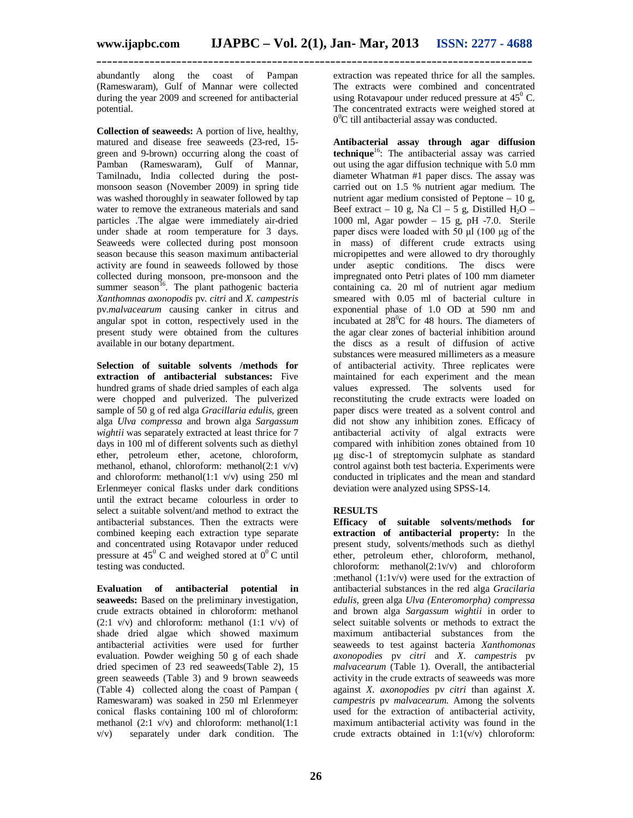**\_\_\_\_\_\_\_\_\_\_\_\_\_\_\_\_\_\_\_\_\_\_\_\_\_\_\_\_\_\_\_\_\_\_\_\_\_\_\_\_\_\_\_\_\_\_\_\_\_\_\_\_\_\_\_\_\_\_\_\_\_\_\_\_\_\_\_\_\_\_\_\_\_\_\_\_\_\_\_\_\_\_**

abundantly along the coast of Pampan (Rameswaram), Gulf of Mannar were collected during the year 2009 and screened for antibacterial potential.

**Collection of seaweeds:** A portion of live, healthy, matured and disease free seaweeds (23-red, 15 green and 9-brown) occurring along the coast of Pamban (Rameswaram), Gulf of Mannar, Tamilnadu, India collected during the postmonsoon season (November 2009) in spring tide was washed thoroughly in seawater followed by tap water to remove the extraneous materials and sand particles .The algae were immediately air-dried under shade at room temperature for 3 days. Seaweeds were collected during post monsoon season because this season maximum antibacterial activity are found in seaweeds followed by those collected during monsoon, pre-monsoon and the summer season<sup>16</sup>. The plant pathogenic bacteria *Xanthomnas axonopodis* pv*. citri* and *X. campestris*  pv.*malvacearum* causing canker in citrus and angular spot in cotton, respectively used in the present study were obtained from the cultures available in our botany department.

**Selection of suitable solvents /methods for extraction of antibacterial substances:** Five hundred grams of shade dried samples of each alga were chopped and pulverized. The pulverized sample of 50 g of red alga *Gracillaria edulis,* green alga *Ulva compressa* and brown alga *Sargassum wightii* was separately extracted at least thrice for 7 days in 100 ml of different solvents such as diethyl ether, petroleum ether, acetone, chloroform, methanol, ethanol, chloroform: methanol(2:1 v/v) and chloroform: methanol(1:1  $v/v$ ) using 250 ml Erlenmeyer conical flasks under dark conditions until the extract became colourless in order to select a suitable solvent/and method to extract the antibacterial substances. Then the extracts were combined keeping each extraction type separate and concentrated using Rotavapor under reduced pressure at  $45^{\circ}$  C and weighed stored at  $0^{\circ}$ C until testing was conducted.

**Evaluation of antibacterial potential in seaweeds:** Based on the preliminary investigation, crude extracts obtained in chloroform: methanol  $(2:1 \text{ v/v})$  and chloroform: methanol  $(1:1 \text{ v/v})$  of shade dried algae which showed maximum antibacterial activities were used for further evaluation. Powder weighing 50 g of each shade dried specimen of 23 red seaweeds(Table 2), 15 green seaweeds (Table 3) and 9 brown seaweeds (Table 4) collected along the coast of Pampan ( Rameswaram) was soaked in 250 ml Erlenmeyer conical flasks containing 100 ml of chloroform: methanol (2:1 v/v) and chloroform: methanol(1:1 v/v) separately under dark condition. The

extraction was repeated thrice for all the samples. The extracts were combined and concentrated using Rotavapour under reduced pressure at  $45^{\circ}$  C. The concentrated extracts were weighed stored at  $0^0C$  till antibacterial assay was conducted.

**Antibacterial assay through agar diffusion technique**<sup>16</sup>: The antibacterial assay was carried out using the agar diffusion technique with 5.0 mm diameter Whatman #1 paper discs. The assay was carried out on 1.5 % nutrient agar medium. The nutrient agar medium consisted of Peptone – 10 g, Beef extract – 10 g, Na Cl – 5 g, Distilled  $H_2O$  – 1000 ml, Agar powder – 15 g, pH -7.0. Sterile paper discs were loaded with 50 μl (100 μg of the in mass) of different crude extracts using micropipettes and were allowed to dry thoroughly under aseptic conditions. The discs were impregnated onto Petri plates of 100 mm diameter containing ca. 20 ml of nutrient agar medium smeared with 0.05 ml of bacterial culture in exponential phase of 1.0 OD at 590 nm and incubated at  $28^{\circ}$ C for 48 hours. The diameters of the agar clear zones of bacterial inhibition around the discs as a result of diffusion of active substances were measured millimeters as a measure of antibacterial activity. Three replicates were maintained for each experiment and the mean values expressed. The solvents used for reconstituting the crude extracts were loaded on paper discs were treated as a solvent control and did not show any inhibition zones. Efficacy of antibacterial activity of algal extracts were compared with inhibition zones obtained from 10 μg disc-1 of streptomycin sulphate as standard control against both test bacteria. Experiments were conducted in triplicates and the mean and standard deviation were analyzed using SPSS-14.

## **RESULTS**

**Efficacy of suitable solvents/methods for extraction of antibacterial property:** In the present study, solvents/methods such as diethyl ether, petroleum ether, chloroform, methanol, chloroform: methanol $(2:1v/v)$  and chloroform :methanol (1:1v/v) were used for the extraction of antibacterial substances in the red alga *Gracilaria edulis,* green alga *Ulva (Enteromorpha) compressa*  and brown alga *Sargassum wightii* in order to select suitable solvents or methods to extract the maximum antibacterial substances from the seaweeds to test against bacteria *Xanthomonas axonopodies* pv *citri* and *X. campestris* pv *malvacearum* (Table 1)*.* Overall, the antibacterial activity in the crude extracts of seaweeds was more against *X. axonopodies* pv *citri* than against *X. campestris* pv *malvacearum.* Among the solvents used for the extraction of antibacterial activity, maximum antibacterial activity was found in the crude extracts obtained in  $1:1(v/v)$  chloroform: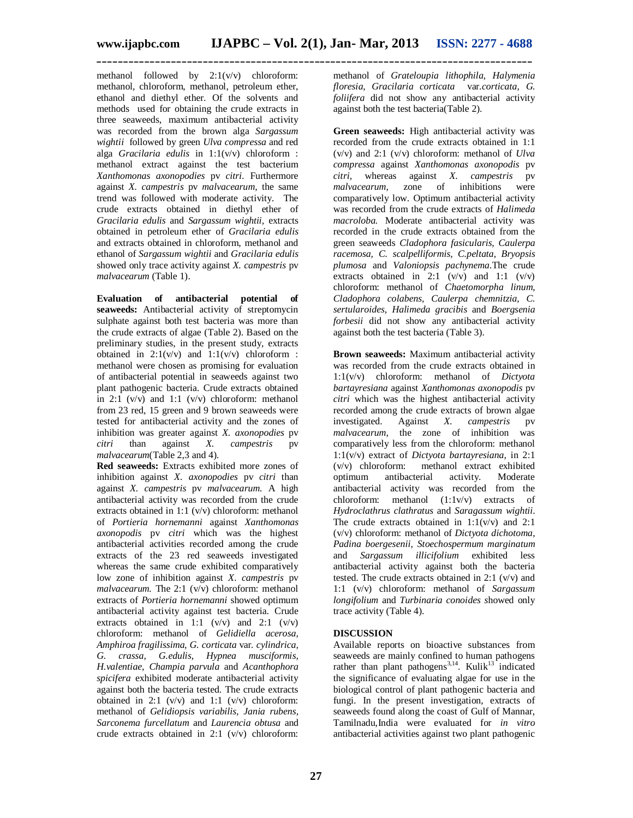methanol followed by  $2:1(v/v)$  chloroform: methanol, chloroform, methanol, petroleum ether, ethanol and diethyl ether. Of the solvents and methods used for obtaining the crude extracts in three seaweeds, maximum antibacterial activity was recorded from the brown alga *Sargassum wightii* followed by green *Ulva compressa* and red alga *Gracilaria edulis* in 1:1(v/v) chloroform : methanol extract against the test bacterium *Xanthomonas axonopodies* pv *citri.* Furthermore against *X. campestris* pv *malvacearum,* the same trend was followed with moderate activity. The crude extracts obtained in diethyl ether of *Gracilaria edulis* and *Sargassum wightii,* extracts obtained in petroleum ether of *Gracilaria edulis*  and extracts obtained in chloroform, methanol and ethanol of *Sargassum wightii* and *Gracilaria edulis*  showed only trace activity against *X. campestris* pv *malvacearum* (Table 1).

**Evaluation of antibacterial potential of seaweeds:** Antibacterial activity of streptomycin sulphate against both test bacteria was more than the crude extracts of algae (Table 2). Based on the preliminary studies, in the present study, extracts obtained in  $2:1(v/v)$  and  $1:1(v/v)$  chloroform : methanol were chosen as promising for evaluation of antibacterial potential in seaweeds against two plant pathogenic bacteria. Crude extracts obtained in  $2:1$  (v/v) and  $1:1$  (v/v) chloroform: methanol from 23 red, 15 green and 9 brown seaweeds were tested for antibacterial activity and the zones of inhibition was greater against *X. axonopodies* pv *citri* than against *X. campestris* pv *malvacearum*(Table 2,3 and 4).

**Red seaweeds:** Extracts exhibited more zones of inhibition against *X. axonopodies* pv *citri* than against *X. campestris* pv *malvacearum.* A high antibacterial activity was recorded from the crude extracts obtained in 1:1 (v/v) chloroform: methanol of *Portieria hornemanni* against *Xanthomonas axonopodis* pv *citri* which was the highest antibacterial activities recorded among the crude extracts of the 23 red seaweeds investigated whereas the same crude exhibited comparatively low zone of inhibition against *X. campestris* pv *malvacearum.* The 2:1 (v/v) chloroform: methanol extracts of *Portieria hornemanni* showed optimum antibacterial activity against test bacteria. Crude extracts obtained in 1:1  $(v/v)$  and 2:1  $(v/v)$ chloroform: methanol of *Gelidiella acerosa, Amphiroa fragilissima, G. corticata* var*. cylindrica, G. crassa, G.edulis, Hypnea musciformis, H.valentiae, Champia parvula* and *Acanthophora spicifera* exhibited moderate antibacterial activity against both the bacteria tested. The crude extracts obtained in 2:1  $(v/v)$  and 1:1  $(v/v)$  chloroform: methanol of *Gelidiopsis variabilis, Jania rubens, Sarconema furcellatum* and *Laurencia obtusa* and crude extracts obtained in 2:1 (v/v) chloroform:

methanol of *Grateloupia lithophila, Halymenia floresia, Gracilaria corticata* var*.corticata, G. foliifera* did not show any antibacterial activity against both the test bacteria(Table 2).

**Green seaweeds:** High antibacterial activity was recorded from the crude extracts obtained in 1:1 (v/v) and 2:1 (v/v) chloroform: methanol of *Ulva compressa* against *Xanthomonas axonopodis* pv *citri,* whereas against *X. campestris* pv of inhibitions comparatively low. Optimum antibacterial activity was recorded from the crude extracts of *Halimeda macroloba.* Moderate antibacterial activity was recorded in the crude extracts obtained from the green seaweeds *Cladophora fasicularis, Caulerpa racemosa, C. scalpelliformis, C.peltata, Bryopsis plumosa* and *Valoniopsis pachynema.*The crude extracts obtained in 2:1  $(v/v)$  and 1:1  $(v/v)$ chloroform: methanol of *Chaetomorpha linum, Cladophora colabens, Caulerpa chemnitzia, C. sertularoides, Halimeda gracibis* and *Boergsenia forbesii* did not show any antibacterial activity against both the test bacteria (Table 3).

**Brown seaweeds:** Maximum antibacterial activity was recorded from the crude extracts obtained in 1:1(v/v) chloroform: methanol of *Dictyota bartayresiana* against *Xanthomonas axonopodis* pv *citri* which was the highest antibacterial activity recorded among the crude extracts of brown algae<br>investigated. Against X. campestris pv Against *X. campestris* pv *malvacearum*, the zone of inhibition was comparatively less from the chloroform: methanol 1:1(v/v) extract of *Dictyota bartayresiana,* in 2:1 (v/v) chloroform: methanol extract exhibited optimum antibacterial activity. Moderate antibacterial activity was recorded from the chloroform: methanol (1:1v/v) extracts of *Hydroclathrus clathratus* and *Saragassum wightii*. The crude extracts obtained in  $1:1(v/v)$  and  $2:1$ (v/v) chloroform: methanol of *Dictyota dichotoma, Padina boergesenii, Stoechospermum marginatum*  and *Sargassum illicifolium* exhibited less antibacterial activity against both the bacteria tested. The crude extracts obtained in  $2:1$  (v/v) and 1:1 (v/v) chloroform: methanol of *Sargassum longifolium* and *Turbinaria conoides s*howed only trace activity (Table 4).

## **DISCUSSION**

Available reports on bioactive substances from seaweeds are mainly confined to human pathogens rather than plant pathogens<sup>3,14</sup>. Kulik<sup>13</sup> indicated the significance of evaluating algae for use in the biological control of plant pathogenic bacteria and fungi. In the present investigation, extracts of seaweeds found along the coast of Gulf of Mannar, Tamilnadu,India were evaluated for *in vitro*  antibacterial activities against two plant pathogenic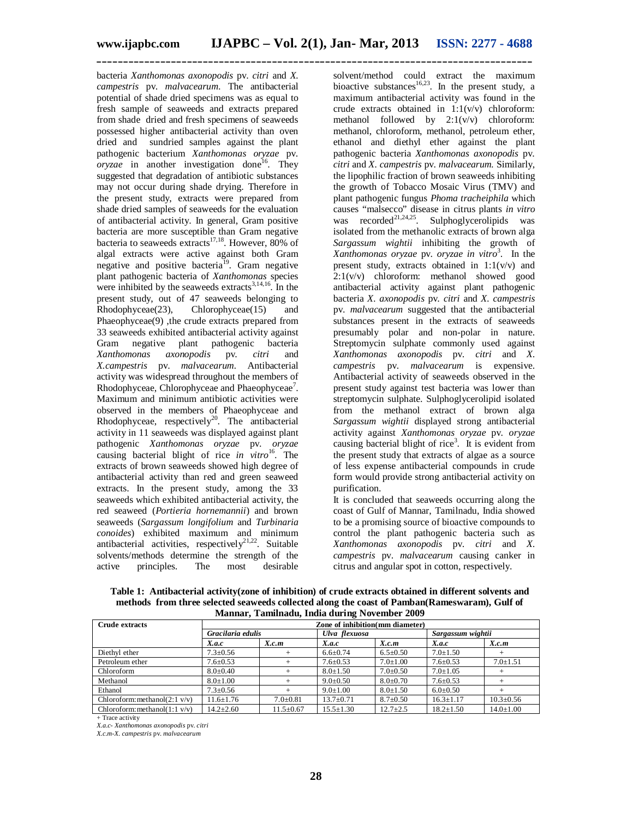**\_\_\_\_\_\_\_\_\_\_\_\_\_\_\_\_\_\_\_\_\_\_\_\_\_\_\_\_\_\_\_\_\_\_\_\_\_\_\_\_\_\_\_\_\_\_\_\_\_\_\_\_\_\_\_\_\_\_\_\_\_\_\_\_\_\_\_\_\_\_\_\_\_\_\_\_\_\_\_\_\_\_**

bacteria *Xanthomonas axonopodis* pv. *citri* and *X. campestris* pv. *malvacearum*. The antibacterial potential of shade dried specimens was as equal to fresh sample of seaweeds and extracts prepared from shade dried and fresh specimens of seaweeds possessed higher antibacterial activity than oven dried and sundried samples against the plant pathogenic bacterium *Xanthomonas oryzae* pv. *oryzae* in another investigation done<sup>16</sup>. They suggested that degradation of antibiotic substances may not occur during shade drying. Therefore in the present study, extracts were prepared from shade dried samples of seaweeds for the evaluation of antibacterial activity. In general, Gram positive bacteria are more susceptible than Gram negative bacteria to seaweeds extracts<sup>17,18</sup>. However, 80% of algal extracts were active against both Gram negative and positive bacteria<sup>19</sup>. Gram negative plant pathogenic bacteria of *Xanthomonas* species were inhibited by the seaweeds extracts $3,14,16$ . In the present study, out of 47 seaweeds belonging to<br>Rhodophyceae(23), Chlorophyceae(15) and Rhodophyceae(23), Chlorophyceae(15) and Phaeophyceae(9) ,the crude extracts prepared from 33 seaweeds exhibited antibacterial activity against Gram negative plant pathogenic bacteria<br>
Xanthomonas axonopodis pv. citri and *Xanthomonas axonopodis* pv. *citri* and *X.campestris* pv. *malvacearum.* Antibacterial activity was widespread throughout the members of Rhodophyceae, Chlorophyceae and Phaeophyceae<sup>7</sup>. Maximum and minimum antibiotic activities were observed in the members of Phaeophyceae and Rhodophyceae, respectively<sup>20</sup>. The antibacterial activity in 11 seaweeds was displayed against plant pathogenic *Xanthomonas oryzae* pv. *oryzae*  causing bacterial blight of rice *in vitro*<sup>16</sup>. The extracts of brown seaweeds showed high degree of antibacterial activity than red and green seaweed extracts. In the present study, among the 33 seaweeds which exhibited antibacterial activity, the red seaweed (*Portieria hornemannii*) and brown seaweeds (*Sargassum longifolium* and *Turbinaria conoides*) exhibited maximum and minimum antibacterial activities, respectively<sup>21,22</sup>. Suitable solvents/methods determine the strength of the active principles. The most desirable

solvent/method could extract the maximum bioactive substances<sup>16,23</sup>. In the present study, a maximum antibacterial activity was found in the crude extracts obtained in  $1:1(v/v)$  chloroform: methanol followed by  $2:1(v/v)$  chloroform: methanol, chloroform, methanol, petroleum ether, ethanol and diethyl ether against the plant pathogenic bacteria *Xanthomonas axonopodis* pv. *citri* and *X. campestris* pv. *malvacearum.* Similarly, the lipophilic fraction of brown seaweeds inhibiting the growth of Tobacco Mosaic Virus (TMV) and plant pathogenic fungus *Phoma tracheiphila* which causes "malsecco" disease in citrus plants *in vitro* was recorded<sup>21,24,25</sup>. Sulphoglycerolipids was isolated from the methanolic extracts of brown alga *Sargassum wightii* inhibiting the growth of *Xanthomonas oryzae* pv. *oryzae in vitro*<sup>3</sup> . In the present study, extracts obtained in  $1:1(v/v)$  and  $2:1(v/v)$  chloroform: methanol showed good antibacterial activity against plant pathogenic bacteria *X. axonopodis* pv. *citri* and *X. campestris*  pv. *malvacearum* suggested that the antibacterial substances present in the extracts of seaweeds presumably polar and non-polar in nature. Streptomycin sulphate commonly used against *Xanthomonas axonopodis* pv. *citri* and *X. campestris* pv. *malvacearum* is expensive. Antibacterial activity of seaweeds observed in the present study against test bacteria was lower than streptomycin sulphate. Sulphoglycerolipid isolated from the methanol extract of brown alga *Sargassum wightii* displayed strong antibacterial activity against *Xanthomonas oryzae* pv. *oryzae*  causing bacterial blight of rice<sup>3</sup>. It is evident from the present study that extracts of algae as a source of less expense antibacterial compounds in crude form would provide strong antibacterial activity on purification.

It is concluded that seaweeds occurring along the coast of Gulf of Mannar, Tamilnadu, India showed to be a promising source of bioactive compounds to control the plant pathogenic bacteria such as *Xanthomonas axonopodis* pv. *citri* and *X. campestris* pv. *malvacearum* causing canker in citrus and angular spot in cotton, respectively.

| <b>Crude extracts</b>                    | Zone of inhibition(mm diameter) |                 |                 |                |                   |                 |
|------------------------------------------|---------------------------------|-----------------|-----------------|----------------|-------------------|-----------------|
|                                          | Gracilaria edulis               |                 | Ulva flexuosa   |                | Sargassum wightii |                 |
|                                          | X.a.c                           | X.c.m           | X.a.c           | X.c.m          | X.a.c             | X.c.m           |
| Diethyl ether                            | $7.3 + 0.56$                    | $^{+}$          | $6.6 \pm 0.74$  | $6.5 \pm 0.50$ | $7.0 \pm 1.50$    | ÷               |
| Petroleum ether                          | $7.6 \pm 0.53$                  | $^+$            | $7.6 \pm 0.53$  | $7.0 \pm 1.00$ | $7.6 \pm 0.53$    | $7.0 \pm 1.51$  |
| Chloroform                               | $8.0 + 0.40$                    | $^+$            | $8.0 \pm 1.50$  | $7.0 \pm 0.50$ | $7.0 \pm 1.05$    |                 |
| Methanol                                 | $8.0 \pm 1.00$                  | $^+$            | $9.0+0.50$      | $8.0 + 0.70$   | $7.6 \pm 0.53$    |                 |
| Ethanol                                  | $7.3 \pm 0.56$                  |                 | $9.0 \pm 1.00$  | $8.0 \pm 1.50$ | $6.0 \pm 0.50$    |                 |
| Chloroform: methanol $(2:1 \text{ v/v})$ | $11.6 + 1.76$                   | $7.0 \pm 0.81$  | $13.7 + 0.71$   | $8.7 \pm 0.50$ | $16.3 + 1.17$     | $10.3 \pm 0.56$ |
| Chloroform: methanol $(1:1 \text{ v/v})$ | $14.2 \pm 2.60$                 | $11.5 \pm 0.67$ | $15.5 \pm 1.30$ | $12.7 \pm 2.5$ | $18.2 \pm 1.50$   | $14.0 \pm 1.00$ |

**Table 1: Antibacterial activity(zone of inhibition) of crude extracts obtained in different solvents and methods from three selected seaweeds collected along the coast of Pamban(Rameswaram), Gulf of Mannar, Tamilnadu, India during November 2009**

+ Trace activity

*X.a.c- Xanthomonas axonopodis* pv. *citri*

*X.c.m*-*X. campestris* pv. *malvacearum*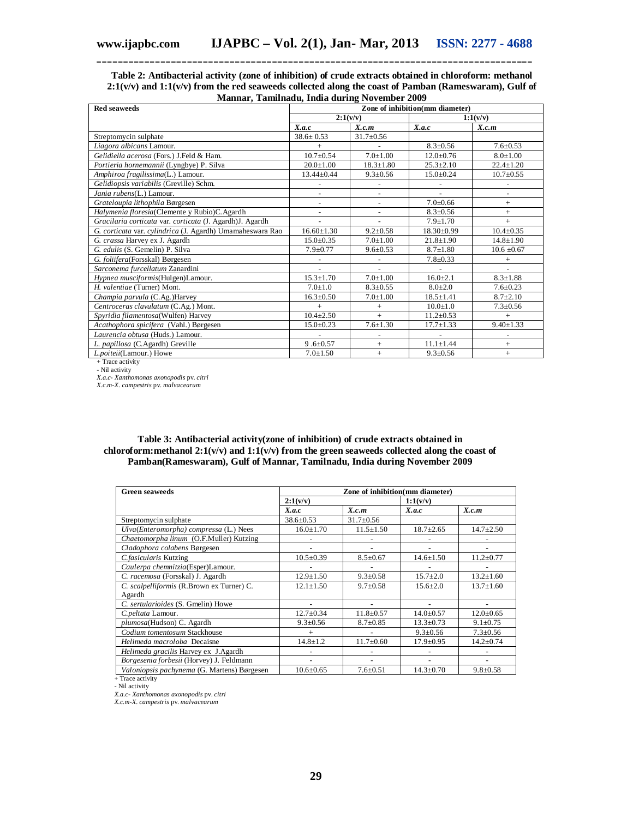#### **Table 2: Antibacterial activity (zone of inhibition) of crude extracts obtained in chloroform: methanol 2:1(v/v) and 1:1(v/v) from the red seaweeds collected along the coast of Pamban (Rameswaram), Gulf of Mannar, Tamilnadu, India during November 2009**

**\_\_\_\_\_\_\_\_\_\_\_\_\_\_\_\_\_\_\_\_\_\_\_\_\_\_\_\_\_\_\_\_\_\_\_\_\_\_\_\_\_\_\_\_\_\_\_\_\_\_\_\_\_\_\_\_\_\_\_\_\_\_\_\_\_\_\_\_\_\_\_\_\_\_\_\_\_\_\_\_\_\_**

| <b>Red seaweeds</b>                                       | манная, таншнами, пкий мигнд тотснюст 2007<br>Zone of inhibition(mm diameter) |                 |                 |                 |  |
|-----------------------------------------------------------|-------------------------------------------------------------------------------|-----------------|-----------------|-----------------|--|
|                                                           | 2:1(v/v)                                                                      |                 |                 | 1:1(v/v)        |  |
|                                                           | X.a.c                                                                         | X.c.m           | X.a.c           | X.c.m           |  |
| Streptomycin sulphate                                     | $38.6 \pm 0.53$                                                               | $31.7 \pm 0.56$ |                 |                 |  |
| Liagora albicans Lamour.                                  | $^{+}$                                                                        |                 | $8.3 \pm 0.56$  | $7.6 \pm 0.53$  |  |
| Gelidiella acerosa (Fors.) J.Feld & Ham.                  | $10.7 \pm 0.54$                                                               | $7.0 \pm 1.00$  | $12.0 \pm 0.76$ | $8.0 \pm 1.00$  |  |
| Portieria hornemannii (Lyngbye) P. Silva                  | $20.0 + 1.00$                                                                 | $18.3 \pm 1.80$ | $25.3 \pm 2.10$ | $22.4 \pm 1.20$ |  |
| Amphiroa fragilissima(L.) Lamour.                         | $13.44 \pm 0.44$                                                              | $9.3 \pm 0.56$  | $15.0 \pm 0.24$ | $10.7 \pm 0.55$ |  |
| Gelidiopsis variabilis (Greville) Schm.                   |                                                                               |                 |                 |                 |  |
| Jania rubens(L.) Lamour.                                  |                                                                               |                 |                 |                 |  |
| Grateloupia lithophila Børgesen                           |                                                                               |                 | $7.0 \pm 0.66$  | $+$             |  |
| Halymenia floresia(Clemente y Rubio)C. Agardh             |                                                                               |                 | $8.3 \pm 0.56$  | $^{+}$          |  |
| Gracilaria corticata var. corticata (J. Agardh)J. Agardh  |                                                                               |                 | $7.9 \pm 1.70$  | $^{+}$          |  |
| G. corticata var. cylindrica (J. Agardh) Umamaheswara Rao | $16.60 \pm 1.30$                                                              | $9.2 \pm 0.58$  | $18.30\pm0.99$  | $10.4 \pm 0.35$ |  |
| G. crassa Harvey ex J. Agardh                             | $15.0 \pm 0.35$                                                               | $7.0 \pm 1.00$  | $21.8 \pm 1.90$ | $14.8 \pm 1.90$ |  |
| G. edulis (S. Gemelin) P. Silva                           | $7.9 \pm 0.77$                                                                | $9.6 \pm 0.53$  | $8.7 \pm 1.80$  | $10.6 \pm 0.67$ |  |
| G. foliifera(Forsskal) Børgesen                           |                                                                               |                 | $7.8 \pm 0.33$  | $^{+}$          |  |
| Sarconema furcellatum Zanardini                           |                                                                               |                 |                 |                 |  |
| Hypnea musciformis(Hulgen)Lamour.                         | $15.3 \pm 1.70$                                                               | $7.0 \pm 1.00$  | $16.0 \pm 2.1$  | $8.3 \pm 1.88$  |  |
| H. valentiae (Turner) Mont.                               | $7.0 \pm 1.0$                                                                 | $8.3 \pm 0.55$  | $8.0 \pm 2.0$   | $7.6 \pm 0.23$  |  |
| Champia parvula (C.Ag.)Harvey                             | $16.3 \pm 0.50$                                                               | $7.0 \pm 1.00$  | $18.5 \pm 1.41$ | $8.7 \pm 2.10$  |  |
| Centroceras clavulatum (C.Ag.) Mont.                      | $^{+}$                                                                        | $^{+}$          | $10.0 \pm 1.0$  | $7.3 \pm 0.56$  |  |
| Spyridia filamentosa(Wulfen) Harvey                       | $10.4 \pm 2.50$                                                               | $+$             | $11.2 \pm 0.53$ | $^{+}$          |  |
| Acathophora spicifera (Vahl.) Børgesen                    | $15.0 \pm 0.23$                                                               | $7.6 \pm 1.30$  | $17.7 \pm 1.33$ | $9.40 \pm 1.33$ |  |
| Laurencia obtusa (Huds.) Lamour.                          |                                                                               |                 |                 |                 |  |
| L. papillosa (C.Agardh) Greville                          | $9.6 \pm 0.57$                                                                | $^{+}$          | $11.1 \pm 1.44$ | $^{+}$          |  |
| L.poiteii(Lamour.) Howe                                   | $7.0 \pm 1.50$                                                                | $^{+}$          | $9.3 \pm 0.56$  | $^{+}$          |  |

+ Trace activity

- Nil activity *X.a.c- Xanthomonas axonopodis* pv. *citri X.c.m*-*X. campestris* pv. *malvacearum*

**Table 3: Antibacterial activity(zone of inhibition) of crude extracts obtained in**  chloroform: methanol  $2:1(v/v)$  and  $1:1(v/v)$  from the green seaweeds collected along the coast of **Pamban(Rameswaram), Gulf of Mannar, Tamilnadu, India during November 2009**

| <b>Green seaweeds</b>                       | Zone of inhibition(mm diameter) |                 |                 |                 |  |
|---------------------------------------------|---------------------------------|-----------------|-----------------|-----------------|--|
|                                             | 2:1(v/v)                        |                 | 1:1(v/v)        |                 |  |
|                                             | X.a.c                           | X.c.m           | X.a.c           | X.c.m           |  |
| Streptomycin sulphate                       | $38.6 \pm 0.53$                 | $31.7 \pm 0.56$ |                 |                 |  |
| Ulva(Enteromorpha) compressa (L.) Nees      | $16.0 \pm 1.70$                 | $11.5 \pm 1.50$ | $18.7 \pm 2.65$ | $14.7 \pm 2.50$ |  |
| Chaetomorpha linum (O.F.Muller) Kutzing     |                                 |                 |                 |                 |  |
| Cladophora colabens Børgesen                |                                 |                 |                 |                 |  |
| C.fasicularis Kutzing                       | $10.5 \pm 0.39$                 | $8.5 \pm 0.67$  | $14.6 \pm 1.50$ | $11.2 \pm 0.77$ |  |
| Caulerpa chemnitzia(Esper)Lamour.           |                                 |                 |                 |                 |  |
| C. racemosa (Forsskal) J. Agardh            | $12.9 \pm 1.50$                 | $9.3 \pm 0.58$  | $15.7 \pm 2.0$  | $13.2 \pm 1.60$ |  |
| C. scalpelliformis (R.Brown ex Turner) C.   | $12.1 \pm 1.50$                 | $9.7 \pm 0.58$  | $15.6 \pm 2.0$  | $13.7 \pm 1.60$ |  |
| Agardh                                      |                                 |                 |                 |                 |  |
| C. sertularioides (S. Gmelin) Howe          |                                 |                 |                 |                 |  |
| C.peltata Lamour.                           | $12.7 \pm 0.34$                 | $11.8 \pm 0.57$ | $14.0 \pm 0.57$ | $12.0 \pm 0.65$ |  |
| plumosa(Hudson) C. Agardh                   | $9.3 \pm 0.56$                  | $8.7 \pm 0.85$  | $13.3 \pm 0.73$ | $9.1 \pm 0.75$  |  |
| Codium tomentosum Stackhouse                | $\pm$                           |                 | $9.3 \pm 0.56$  | $7.3 \pm 0.56$  |  |
| Helimeda macroloba Decaisne                 | $14.8 \pm 1.2$                  | $11.7 \pm 0.60$ | $17.9 \pm 0.95$ | $14.2 \pm 0.74$ |  |
| Helimeda gracilis Harvey ex J.Agardh        |                                 |                 |                 |                 |  |
| Borgesenia forbesii (Horvey) J. Feldmann    |                                 |                 |                 |                 |  |
| Valoniopsis pachynema (G. Martens) Børgesen | $10.6 \pm 0.65$                 | $7.6 \pm 0.51$  | $14.3 \pm 0.70$ | $9.8 \pm 0.58$  |  |

+ Trace activity

- Nil activity

*X.a.c- Xanthomonas axonopodis* pv. *citri X.c.m*-*X. campestris* pv. *malvacearum*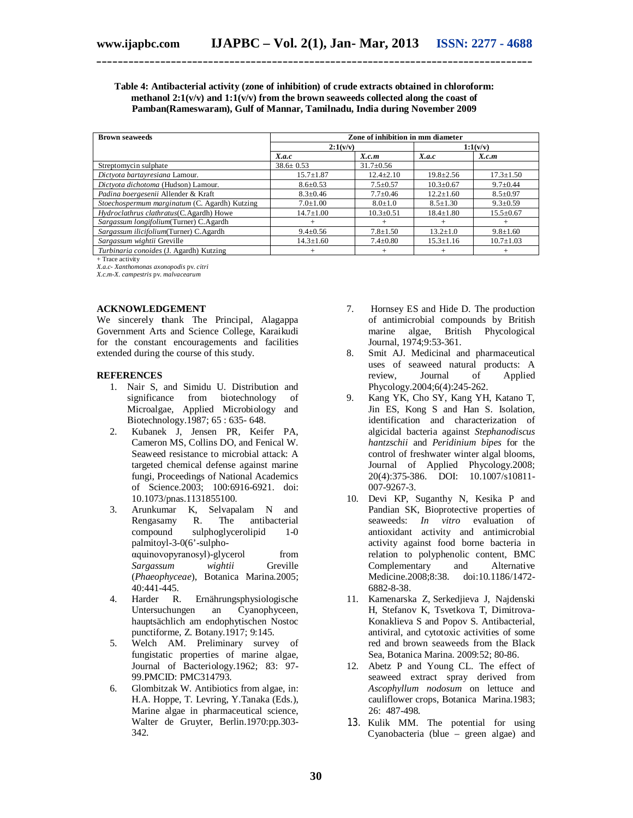#### **Table 4: Antibacterial activity (zone of inhibition) of crude extracts obtained in chloroform: methanol 2:1(v/v) and 1:1(v/v) from the brown seaweeds collected along the coast of Pamban(Rameswaram), Gulf of Mannar, Tamilnadu, India during November 2009**

**\_\_\_\_\_\_\_\_\_\_\_\_\_\_\_\_\_\_\_\_\_\_\_\_\_\_\_\_\_\_\_\_\_\_\_\_\_\_\_\_\_\_\_\_\_\_\_\_\_\_\_\_\_\_\_\_\_\_\_\_\_\_\_\_\_\_\_\_\_\_\_\_\_\_\_\_\_\_\_\_\_\_**

| <b>Brown seaweeds</b>                         | Zone of inhibition in mm diameter |                 |                 |                 |
|-----------------------------------------------|-----------------------------------|-----------------|-----------------|-----------------|
|                                               | 2:1(v/v)                          |                 |                 | 1:1(v/v)        |
|                                               | X.a.c                             | X.c.m           | X.a.c           | X.c.m           |
| Streptomycin sulphate                         | $38.6 \pm 0.53$                   | $31.7 \pm 0.56$ |                 |                 |
| Dictyota bartayresiana Lamour.                | $15.7 \pm 1.87$                   | $12.4 \pm 2.10$ | $19.8 \pm 2.56$ | $17.3 \pm 1.50$ |
| Dictyota dichotoma (Hudson) Lamour.           | $8.6 \pm 0.53$                    | $7.5 \pm 0.57$  | $10.3 \pm 0.67$ | $9.7 \pm 0.44$  |
| Padina boergesenii Allender & Kraft           | $8.3 \pm 0.46$                    | $7.7+0.46$      | $12.2 \pm 1.60$ | $8.5 \pm 0.97$  |
| Stoechospermum marginatum (C. Agardh) Kutzing | $7.0 \pm 1.00$                    | $8.0 \pm 1.0$   | $8.5 \pm 1.30$  | $9.3 \pm 0.59$  |
| Hydroclathrus clathratus(C.Agardh) Howe       | $14.7 \pm 1.00$                   | $10.3 \pm 0.51$ | $18.4 \pm 1.80$ | $15.5 \pm 0.67$ |
| Sargassum longifolium (Turner) C.Agardh       |                                   |                 |                 |                 |
| Sargassum ilicifolium (Turner) C.Agardh       | $9.4 \pm 0.56$                    | $7.8 \pm 1.50$  | $13.2 \pm 1.0$  | $9.8 \pm 1.60$  |
| Sargassum wightii Greville                    | $14.3 \pm 1.60$                   | $7.4 \pm 0.80$  | $15.3 \pm 1.16$ | $10.7 \pm 1.03$ |
| Turbinaria conoides (J. Agardh) Kutzing       |                                   |                 | ÷               |                 |

+ Trace activity

*X.a.c- Xanthomonas axonopodis* pv. *citri*

*X.c.m*-*X. campestris* pv. *malvacearum*

#### **ACKNOWLEDGEMENT**

We sincerely **t**hank The Principal, Alagappa Government Arts and Science College, Karaikudi for the constant encouragements and facilities extended during the course of this study.

#### **REFERENCES**

- 1. Nair S, and Simidu U. Distribution and significance from biotechnology of Microalgae, Applied Microbiology and Biotechnology.1987; 65 : 635- 648.
- 2. Kubanek J, Jensen PR, Keifer PA, Cameron MS, Collins DO, and Fenical W. Seaweed resistance to microbial attack: A targeted chemical defense against marine fungi, Proceedings of National Academics of Science.2003; 100:6916-6921. doi: 10.1073/pnas.1131855100.
- 3. Arunkumar K, Selvapalam N and Rengasamy R. The antibacterial compound sulphoglycerolipid 1-0 palmitoyl-3-0(6'-sulphoαquinovopyranosyl)-glycerol from *Sargassum wightii* Greville (*Phaeophyceae*), Botanica Marina.2005; 40:441-445.
- 4. Harder R. Ernährungsphysiologische Untersuchungen an Cyanophyceen, hauptsächlich am endophytischen Nostoc punctiforme, Z. Botany.1917; 9:145.
- 5. Welch AM. Preliminary survey of fungistatic properties of marine algae, Journal of Bacteriology.1962; 83: 97- 99.PMCID: PMC314793.
- 6. Glombitzak W. Antibiotics from algae, in: H.A. Hoppe, T. Levring, Y.Tanaka (Eds.), Marine algae in pharmaceutical science, Walter de Gruyter, Berlin.1970:pp.303- 342.
- 7. Hornsey ES and Hide D. The production of antimicrobial compounds by British marine algae, British Phycological Journal, 1974;9:53-361.
- 8. Smit AJ. Medicinal and pharmaceutical uses of seaweed natural products: A<br>review, Journal of Applied review, Journal of Applied Phycology.2004;6(4):245-262.
- 9. Kang YK, Cho SY, Kang YH, Katano T, Jin ES, Kong S and Han S. Isolation, identification and characterization of algicidal bacteria against *Stephanodiscus hantzschii* and *Peridinium bipes* for the control of freshwater winter algal blooms, Journal of Applied Phycology.2008; 20(4):375-386. DOI: 10.1007/s10811- 007-9267-3.
- 10. Devi KP, Suganthy N, Kesika P and Pandian SK, Bioprotective properties of seaweeds: *In vitro* evaluation of antioxidant activity and antimicrobial activity against food borne bacteria in relation to polyphenolic content, BMC Complementary and Alternative<br>Medicine.2008;8:38. doi:10.1186/1472-Medicine.2008;8:38. 6882-8-38.
- 11. Kamenarska Z, Serkedjieva J, Najdenski H, Stefanov K, Tsvetkova T, Dimitrova-Konaklieva S and Popov S. Antibacterial, antiviral, and cytotoxic activities of some red and brown seaweeds from the Black Sea, Botanica Marina. 2009:52; 80-86.
- 12. Abetz P and Young CL. The effect of seaweed extract spray derived from *Ascophyllum nodosum* on lettuce and cauliflower crops, Botanica Marina.1983; 26: 487-498.
- 13. Kulik MM. The potential for using Cyanobacteria (blue – green algae) and